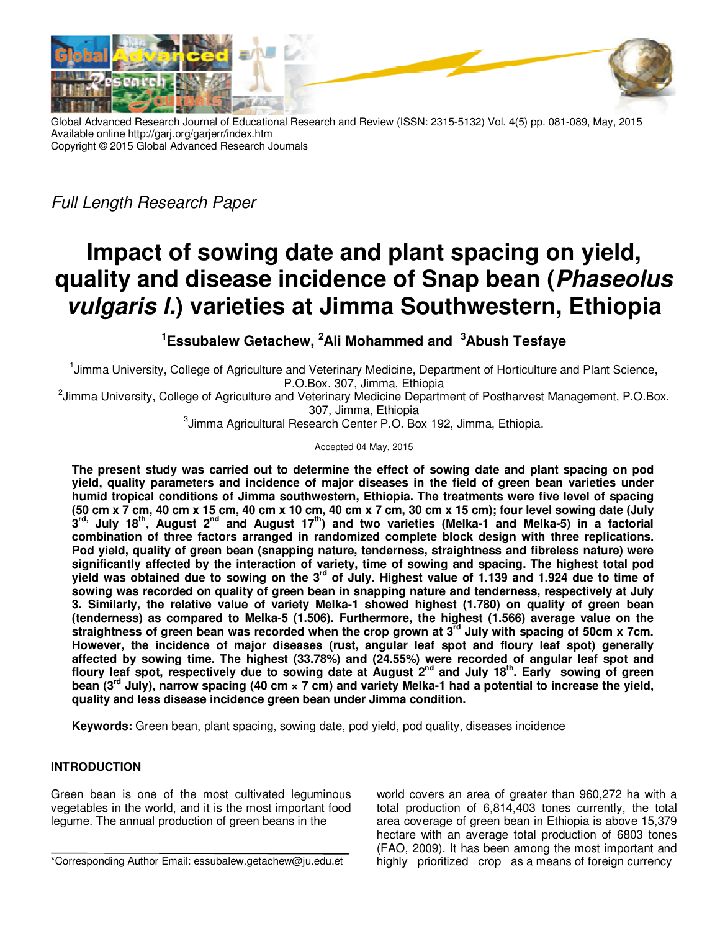

Global Advanced Research Journal of Educational Research and Review (ISSN: 2315-5132) Vol. 4(5) pp. 081-089, May, 2015 Available online http://garj.org/garjerr/index.htm Copyright © 2015 Global Advanced Research Journals

*Full Length Research Paper* 

# **Impact of sowing date and plant spacing on yield, quality and disease incidence of Snap bean (Phaseolus vulgaris l.) varieties at Jimma Southwestern, Ethiopia**

**<sup>1</sup>Essubalew Getachew, <sup>2</sup>Ali Mohammed and <sup>3</sup>Abush Tesfaye** 

<sup>1</sup>Jimma University, College of Agriculture and Veterinary Medicine, Department of Horticulture and Plant Science, P.O.Box. 307, Jimma, Ethiopia

<sup>2</sup>Jimma University, College of Agriculture and Veterinary Medicine Department of Postharvest Management, P.O.Box. 307, Jimma, Ethiopia

 ${}^{3}$ Jimma Agricultural Research Center P.O. Box 192, Jimma, Ethiopia.

Accepted 04 May, 2015

**The present study was carried out to determine the effect of sowing date and plant spacing on pod yield, quality parameters and incidence of major diseases in the field of green bean varieties under humid tropical conditions of Jimma southwestern, Ethiopia. The treatments were five level of spacing (50 cm x 7 cm, 40 cm x 15 cm, 40 cm x 10 cm, 40 cm x 7 cm, 30 cm x 15 cm); four level sowing date (July 3 rd, July 18th, August 2nd and August 17th) and two varieties (Melka-1 and Melka-5) in a factorial combination of three factors arranged in randomized complete block design with three replications. Pod yield, quality of green bean (snapping nature, tenderness, straightness and fibreless nature) were significantly affected by the interaction of variety, time of sowing and spacing. The highest total pod yield was obtained due to sowing on the 3rd of July. Highest value of 1.139 and 1.924 due to time of sowing was recorded on quality of green bean in snapping nature and tenderness, respectively at July 3. Similarly, the relative value of variety Melka-1 showed highest (1.780) on quality of green bean (tenderness) as compared to Melka-5 (1.506). Furthermore, the highest (1.566) average value on the straightness of green bean was recorded when the crop grown at 3rd July with spacing of 50cm x 7cm. However, the incidence of major diseases (rust, angular leaf spot and floury leaf spot) generally affected by sowing time. The highest (33.78%) and (24.55%) were recorded of angular leaf spot and floury leaf spot, respectively due to sowing date at August 2nd and July 18th. Early sowing of green bean (3rd July), narrow spacing (40 cm × 7 cm) and variety Melka-1 had a potential to increase the yield, quality and less disease incidence green bean under Jimma condition.** 

**Keywords:** Green bean, plant spacing, sowing date, pod yield, pod quality, diseases incidence

# **INTRODUCTION**

Green bean is one of the most cultivated leguminous vegetables in the world, and it is the most important food legume. The annual production of green beans in the

world covers an area of greater than 960,272 ha with a total production of 6,814,403 tones currently, the total area coverage of green bean in Ethiopia is above 15,379 hectare with an average total production of 6803 tones (FAO, 2009). It has been among the most important and highly prioritized crop as a means of foreign currency

<sup>\*</sup>Corresponding Author Email: essubalew.getachew@ju.edu.et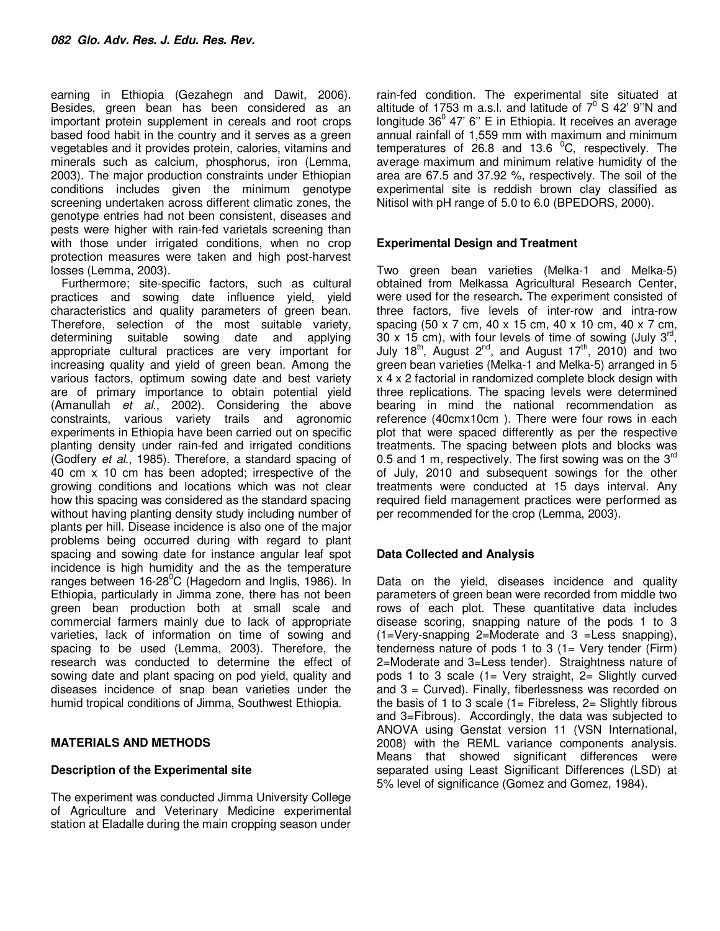earning in Ethiopia (Gezahegn and Dawit, 2006). Besides, green bean has been considered as an important protein supplement in cereals and root crops based food habit in the country and it serves as a green vegetables and it provides protein, calories, vitamins and minerals such as calcium, phosphorus, iron (Lemma, 2003). The major production constraints under Ethiopian conditions includes given the minimum genotype screening undertaken across different climatic zones, the genotype entries had not been consistent, diseases and pests were higher with rain-fed varietals screening than with those under irrigated conditions, when no crop protection measures were taken and high post-harvest losses (Lemma, 2003).

Furthermore; site-specific factors, such as cultural practices and sowing date influence yield, yield characteristics and quality parameters of green bean. Therefore, selection of the most suitable variety, determining suitable sowing date and applying appropriate cultural practices are very important for increasing quality and yield of green bean. Among the various factors, optimum sowing date and best variety are of primary importance to obtain potential yield (Amanullah *et al*., 2002). Considering the above constraints, various variety trails and agronomic experiments in Ethiopia have been carried out on specific planting density under rain-fed and irrigated conditions (Godfery *et al*., 1985). Therefore, a standard spacing of 40 cm x 10 cm has been adopted; irrespective of the growing conditions and locations which was not clear how this spacing was considered as the standard spacing without having planting density study including number of plants per hill. Disease incidence is also one of the major problems being occurred during with regard to plant spacing and sowing date for instance angular leaf spot incidence is high humidity and the as the temperature ranges between  $16-28^{\circ}$ C (Hagedorn and Inglis, 1986). In Ethiopia, particularly in Jimma zone, there has not been green bean production both at small scale and commercial farmers mainly due to lack of appropriate varieties, lack of information on time of sowing and spacing to be used (Lemma, 2003). Therefore, the research was conducted to determine the effect of sowing date and plant spacing on pod yield, quality and diseases incidence of snap bean varieties under the humid tropical conditions of Jimma, Southwest Ethiopia.

## **MATERIALS AND METHODS**

# **Description of the Experimental site**

The experiment was conducted Jimma University College of Agriculture and Veterinary Medicine experimental station at Eladalle during the main cropping season under

rain-fed condition. The experimental site situated at altitude of 1753 m a.s.l. and latitude of  $7^0$  S 42' 9"N and longitude 36 $^0$  47' 6" E in Ethiopia. It receives an average annual rainfall of 1,559 mm with maximum and minimum temperatures of  $26.8$  and 13.6  $^0$ C, respectively. The average maximum and minimum relative humidity of the area are 67.5 and 37.92 %, respectively. The soil of the experimental site is reddish brown clay classified as Nitisol with pH range of 5.0 to 6.0 (BPEDORS, 2000).

## **Experimental Design and Treatment**

Two green bean varieties (Melka-1 and Melka-5) obtained from Melkassa Agricultural Research Center, were used for the research**.** The experiment consisted of three factors, five levels of inter-row and intra-row spacing (50 x 7 cm, 40 x 15 cm, 40 x 10 cm, 40 x 7 cm,  $30 \times 15$  cm), with four levels of time of sowing (July 3<sup>rd</sup>, July  $18<sup>th</sup>$ , August  $2<sup>nd</sup>$ , and August  $17<sup>th</sup>$ , 2010) and two green bean varieties (Melka-1 and Melka-5) arranged in 5 x 4 x 2 factorial in randomized complete block design with three replications. The spacing levels were determined bearing in mind the national recommendation as reference (40cmx10cm ). There were four rows in each plot that were spaced differently as per the respective treatments. The spacing between plots and blocks was 0.5 and 1 m, respectively. The first sowing was on the  $3<sup>rd</sup>$ of July, 2010 and subsequent sowings for the other treatments were conducted at 15 days interval. Any required field management practices were performed as per recommended for the crop (Lemma, 2003).

# **Data Collected and Analysis**

Data on the yield, diseases incidence and quality parameters of green bean were recorded from middle two rows of each plot. These quantitative data includes disease scoring, snapping nature of the pods 1 to 3 (1=Very-snapping 2=Moderate and 3 =Less snapping), tenderness nature of pods 1 to 3  $(1=$  Very tender (Firm) 2=Moderate and 3=Less tender). Straightness nature of pods 1 to 3 scale  $(1=$  Very straight,  $2=$  Slightly curved and 3 = Curved). Finally, fiberlessness was recorded on the basis of 1 to 3 scale  $(1 =$  Fibreless,  $2 =$  Slightly fibrous and 3=Fibrous). Accordingly, the data was subjected to ANOVA using Genstat version 11 (VSN International, 2008) with the REML variance components analysis. Means that showed significant differences were separated using Least Significant Differences (LSD) at 5% level of significance (Gomez and Gomez, 1984).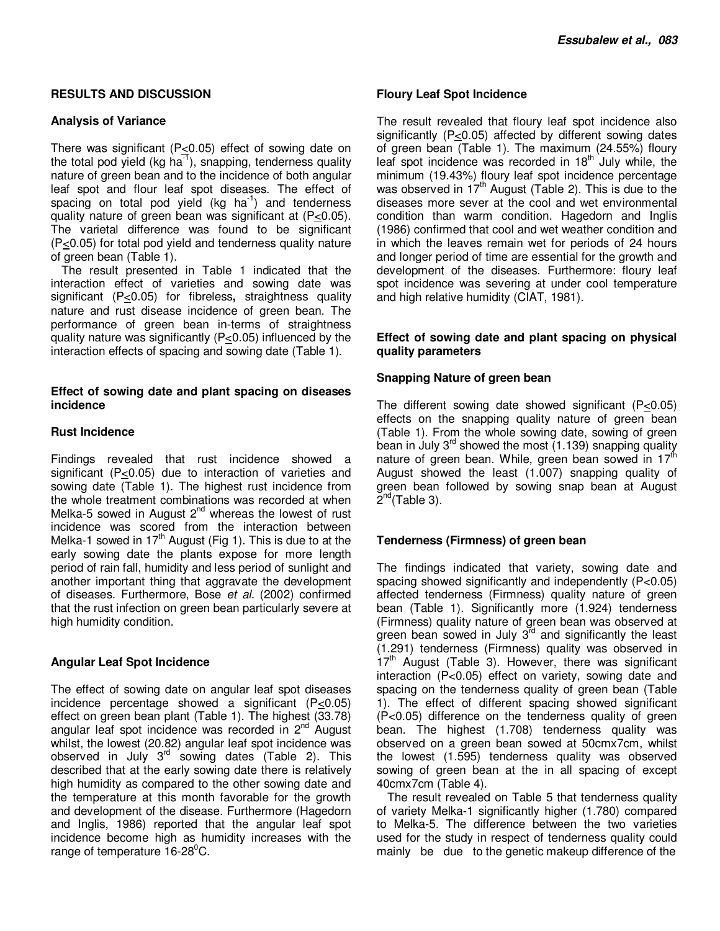## **RESULTS AND DISCUSSION**

## **Analysis of Variance**

There was significant (P<0.05) effect of sowing date on the total pod yield (kg ha<sup>-1</sup>), snapping, tenderness quality nature of green bean and to the incidence of both angular leaf spot and flour leaf spot diseases. The effect of spacing on total pod yield  $(kg \text{ ha}^{-1})$  and tenderness quality nature of green bean was significant at (P<0.05). The varietal difference was found to be significant (P<0.05) for total pod yield and tenderness quality nature of green bean (Table 1).

The result presented in Table 1 indicated that the interaction effect of varieties and sowing date was significant (P<0.05) for fibreless**,** straightness quality nature and rust disease incidence of green bean. The performance of green bean in-terms of straightness quality nature was significantly (P<0.05) influenced by the interaction effects of spacing and sowing date (Table 1).

## **Effect of sowing date and plant spacing on diseases incidence**

## **Rust Incidence**

Findings revealed that rust incidence showed a significant (P<0.05) due to interaction of varieties and sowing date (Table 1). The highest rust incidence from the whole treatment combinations was recorded at when Melka-5 sowed in August  $2^{nd}$  whereas the lowest of rust incidence was scored from the interaction between Melka-1 sowed in 17<sup>th</sup> August (Fig 1). This is due to at the early sowing date the plants expose for more length period of rain fall, humidity and less period of sunlight and another important thing that aggravate the development of diseases. Furthermore, Bose *et al.* (2002) confirmed that the rust infection on green bean particularly severe at high humidity condition.

# **Angular Leaf Spot Incidence**

The effect of sowing date on angular leaf spot diseases incidence percentage showed a significant  $(P \le 0.05)$ effect on green bean plant (Table 1). The highest (33.78) angular leaf spot incidence was recorded in 2<sup>nd</sup> August whilst, the lowest (20.82) angular leaf spot incidence was observed in July  $3^{rd}$  sowing dates (Table 2). This described that at the early sowing date there is relatively high humidity as compared to the other sowing date and the temperature at this month favorable for the growth and development of the disease. Furthermore (Hagedorn and Inglis, 1986) reported that the angular leaf spot incidence become high as humidity increases with the range of temperature  $16-28^{\circ}$ C.

## **Floury Leaf Spot Incidence**

The result revealed that floury leaf spot incidence also significantly (P<0.05) affected by different sowing dates of green bean (Table 1). The maximum (24.55%) floury leaf spot incidence was recorded in 18<sup>th</sup> July while, the minimum (19.43%) floury leaf spot incidence percentage was observed in  $17<sup>th</sup>$  August (Table 2). This is due to the diseases more sever at the cool and wet environmental condition than warm condition. Hagedorn and Inglis (1986) confirmed that cool and wet weather condition and in which the leaves remain wet for periods of 24 hours and longer period of time are essential for the growth and development of the diseases. Furthermore: floury leaf spot incidence was severing at under cool temperature and high relative humidity (CIAT, 1981).

## **Effect of sowing date and plant spacing on physical quality parameters**

## **Snapping Nature of green bean**

The different sowing date showed significant (P<0.05) effects on the snapping quality nature of green bean (Table 1). From the whole sowing date, sowing of green bean in July  $3<sup>rd</sup>$  showed the most (1.139) snapping quality nature of green bean. While, green bean sowed in 17<sup>th</sup> August showed the least (1.007) snapping quality of green bean followed by sowing snap bean at August  $\check{\mathsf{2}}^{\mathsf{nd}}$ (Table 3).

# **Tenderness (Firmness) of green bean**

The findings indicated that variety, sowing date and spacing showed significantly and independently (P<0.05) affected tenderness (Firmness) quality nature of green bean (Table 1). Significantly more (1.924) tenderness (Firmness) quality nature of green bean was observed at green bean sowed in July  $3<sup>rd</sup>$  and significantly the least (1.291) tenderness (Firmness) quality was observed in  $17<sup>th</sup>$  August (Table 3). However, there was significant interaction (P<0.05) effect on variety, sowing date and spacing on the tenderness quality of green bean (Table 1). The effect of different spacing showed significant (P<0.05) difference on the tenderness quality of green bean. The highest (1.708) tenderness quality was observed on a green bean sowed at 50cmx7cm, whilst the lowest (1.595) tenderness quality was observed sowing of green bean at the in all spacing of except 40cmx7cm (Table 4).

The result revealed on Table 5 that tenderness quality of variety Melka-1 significantly higher (1.780) compared to Melka-5. The difference between the two varieties used for the study in respect of tenderness quality could mainly be due to the genetic makeup difference of the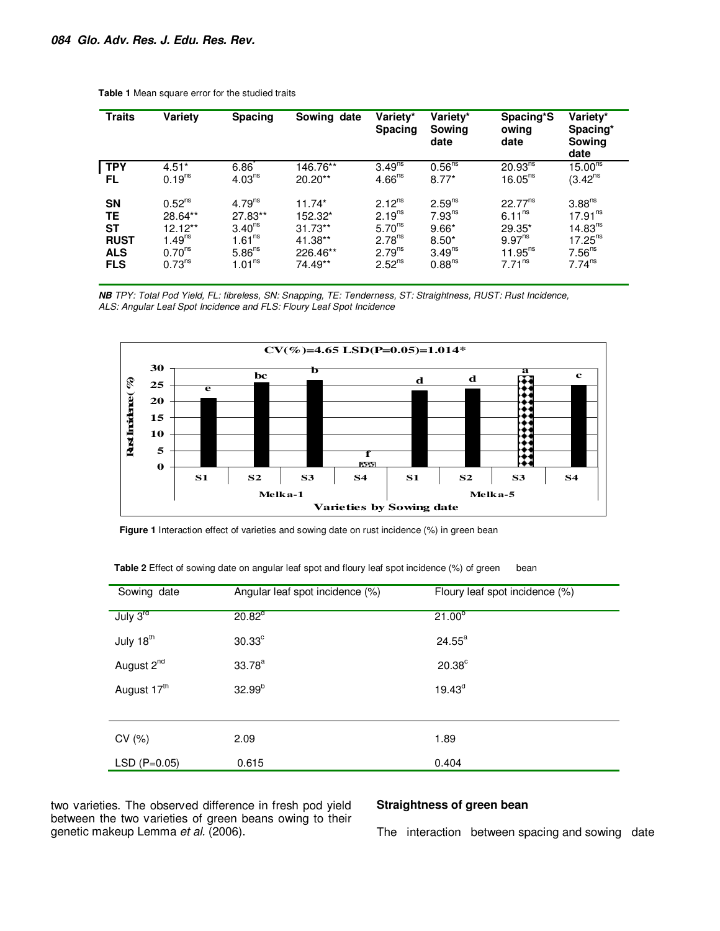| <b>Traits</b> | Variety            | <b>Spacing</b>     | Sowing date | Variety*<br><b>Spacing</b> | Variety*<br>Sowing<br>date | Spacing*S<br>owing<br>date | Variety*<br>Spacing*<br>Sowing<br>date |
|---------------|--------------------|--------------------|-------------|----------------------------|----------------------------|----------------------------|----------------------------------------|
| <b>TPY</b>    | $4.51*$            | 6.86               | 146.76**    | 3.49 <sup>ns</sup>         | 0.56 <sup>ns</sup>         | $20.93^{ns}$               | 15.00 <sup>ns</sup>                    |
| FL.           | 0.19 <sup>ns</sup> | 4.03 <sup>ns</sup> | $20.20**$   | 4.66 <sup>ns</sup>         | $8.77*$                    | 16.05 <sup>ns</sup>        | $(3.42^{ns})$                          |
| SΝ            | 0.52 <sup>ns</sup> | 4.79 <sup>ns</sup> | $11.74*$    | $2.12^{ns}$                | 2.59 <sup>ns</sup>         | $22.77^{ns}$               | 3.88 <sup>ns</sup>                     |
| TE            | 28.64**            | 27.83**            | 152.32*     | $2.19^{ns}$                | $7.93^{ns}$                | 6.11 <sup>ns</sup>         | 17.91 <sup>ns</sup>                    |
| <b>ST</b>     | 12.12**            | 3.40 <sup>ns</sup> | $31.73**$   | 5.70 <sup>ns</sup>         | $9.66*$                    | 29.35*                     | 14.83 <sup>ns</sup>                    |
| <b>RUST</b>   | $1.49^{ns}$        | 1.61 <sup>ns</sup> | 41.38**     | 2.78 <sup>ns</sup>         | $8.50*$                    | 9.97 <sup>ns</sup>         | $17.25^{ns}$                           |
| <b>ALS</b>    | $0.70^{ns}$        | 5.86 <sup>ns</sup> | 226.46**    | $2.79^{ns}$                | $3.49^{ns}$                | $11.95^{ns}$               | 7.56 <sup>ns</sup>                     |
| <b>FLS</b>    | 0.73 <sup>ns</sup> | 1.01 <sup>ns</sup> | 74.49**     | $2.52^{ns}$                | 0.88 <sup>ns</sup>         | 7.71 <sup>ns</sup>         | 7.74 <sup>ns</sup>                     |

**Table 1** Mean square error for the studied traits

**NB** *TPY: Total Pod Yield, FL: fibreless, SN: Snapping, TE: Tenderness, ST: Straightness, RUST: Rust Incidence, ALS: Angular Leaf Spot Incidence and FLS: Floury Leaf Spot Incidence*



Figure 1 Interaction effect of varieties and sowing date on rust incidence (%) in green bean

| Sowing date             | Angular leaf spot incidence (%) | Floury leaf spot incidence (%) |
|-------------------------|---------------------------------|--------------------------------|
| July $3^{\text{rd}}$    | 20.82 <sup>d</sup>              | $21.00^{b}$                    |
| July 18 <sup>th</sup>   | 30.33 <sup>c</sup>              | $24.55^{\circ}$                |
| August 2 <sup>nd</sup>  | $33.78^{a}$                     | 20.38 <sup>c</sup>             |
| August 17 <sup>th</sup> | $32.99^{b}$                     | $19.43^d$                      |
|                         |                                 |                                |
| CV(%)                   | 2.09                            | 1.89                           |
| $LSD (P=0.05)$          | 0.615                           | 0.404                          |

**Table 2** Effect of sowing date on angular leaf spot and floury leaf spot incidence (%) of green bean

two varieties. The observed difference in fresh pod yield between the two varieties of green beans owing to their genetic makeup Lemma *et al.* (2006).

## **Straightness of green bean**

The interaction between spacing and sowing date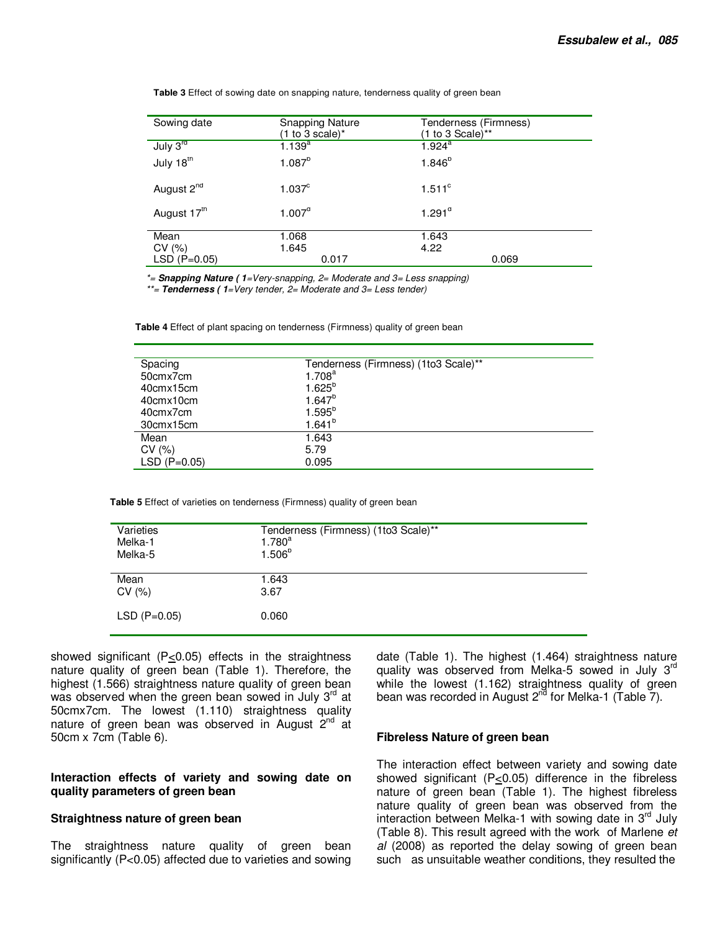| Sowing date             | <b>Snapping Nature</b><br>$(1 to 3 scale)^*$ | Tenderness (Firmness)<br>$(1 to 3 Scale)$ ** |
|-------------------------|----------------------------------------------|----------------------------------------------|
| July 3rd                | $1.139^{a}$                                  | $1.924^a$                                    |
| July 18th               | $1.087^{b}$                                  | $1.846^{b}$                                  |
| August 2 <sup>nd</sup>  | 1.037 <sup>c</sup>                           | $1.511^{\circ}$                              |
| August 17 <sup>th</sup> | $1.007^{\circ}$                              | $1.291^\circ$                                |
| Mean                    | 1.068                                        | 1.643                                        |
| CV(%)                   | 1.645                                        | 4.22                                         |
| $LSD (P=0.05)$          | 0.017                                        | 0.069                                        |

**Table 3** Effect of sowing date on snapping nature, tenderness quality of green bean

*\*=* **Snapping Nature ( 1***=Very-snapping, 2= Moderate and 3= Less snapping)* 

*\*\*=* **Tenderness ( 1***=Very tender, 2= Moderate and 3= Less tender)*

**Table 4** Effect of plant spacing on tenderness (Firmness) quality of green bean

| Spacing        | Tenderness (Firmness) (1to3 Scale)** |
|----------------|--------------------------------------|
| 50cmx7cm       | 1.708 <sup>a</sup>                   |
| 40cmx15cm      | $1.625^{b}$                          |
| 40cmx10cm      | $1.647^{b}$                          |
| 40cmx7cm       | $1.595^{b}$                          |
| 30cmx15cm      | $1.641^{b}$                          |
| Mean           | 1.643                                |
| CV(%)          | 5.79                                 |
| $LSD (P=0.05)$ | 0.095                                |
|                |                                      |

**Table 5** Effect of varieties on tenderness (Firmness) quality of green bean

| Varieties      | Tenderness (Firmness) (1to3 Scale)** |
|----------------|--------------------------------------|
| Melka-1        | $1.780^{a}$                          |
| Melka-5        | $1.506^{b}$                          |
| Mean           | 1.643                                |
| CV(%)          | 3.67                                 |
| $LSD (P=0.05)$ | 0.060                                |

showed significant ( $P \le 0.05$ ) effects in the straightness nature quality of green bean (Table 1). Therefore, the highest (1.566) straightness nature quality of green bean was observed when the green bean sowed in July  $3<sup>rd</sup>$  at 50cmx7cm. The lowest (1.110) straightness quality nature of green bean was observed in August  $2^{nd}$  at 50cm x 7cm (Table 6).

#### **Interaction effects of variety and sowing date on quality parameters of green bean**

#### **Straightness nature of green bean**

The straightness nature quality of green bean significantly (P<0.05) affected due to varieties and sowing date (Table 1). The highest (1.464) straightness nature quality was observed from Melka-5 sowed in July 3<sup>rd</sup> while the lowest (1.162) straightness quality of green bean was recorded in August  $2^{nd}$  for Melka-1 (Table 7).

#### **Fibreless Nature of green bean**

The interaction effect between variety and sowing date showed significant (P<0.05) difference in the fibreless nature of green bean (Table 1). The highest fibreless nature quality of green bean was observed from the interaction between Melka-1 with sowing date in  $3<sup>rd</sup>$  July (Table 8). This result agreed with the work of Marlene *et al* (2008) as reported the delay sowing of green bean such as unsuitable weather conditions, they resulted the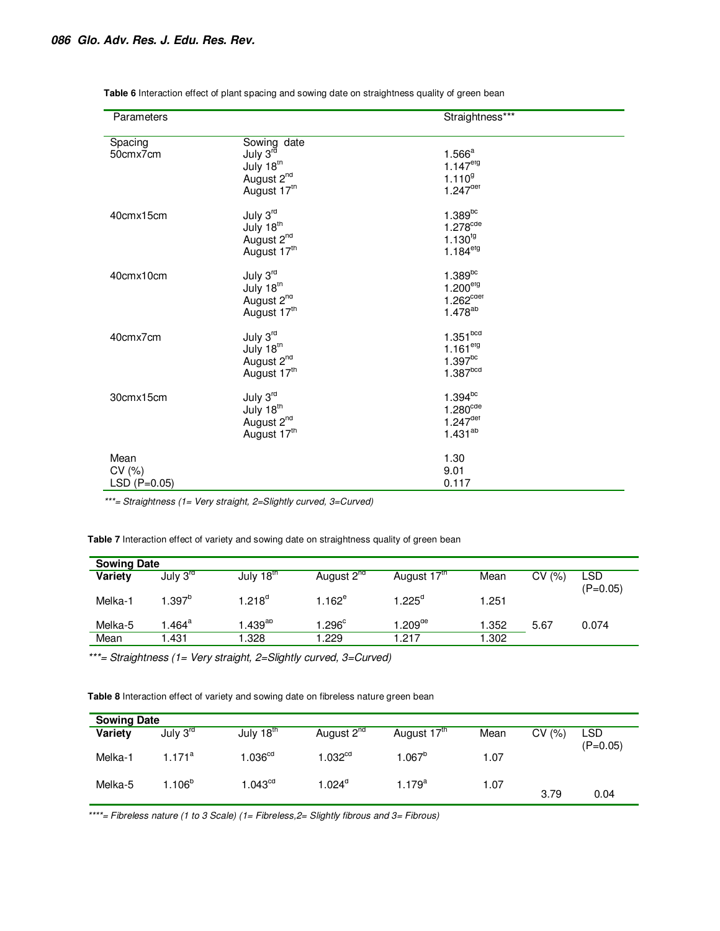| Parameters                      |                                                                                           | Straightness***                                                                            |
|---------------------------------|-------------------------------------------------------------------------------------------|--------------------------------------------------------------------------------------------|
| Spacing<br>50cmx7cm             | Sowing date<br>July 3 <sup>rd</sup><br>July 18th<br>August 2 <sup>nd</sup><br>August 17th | $1.566^a$<br>$1.147^{erg}$<br>1.110 <sup>9</sup><br>$1.247^{\text{det}}$                   |
| 40cmx15cm                       | July 3rd<br>July 18 <sup>th</sup><br>August 2 <sup>nd</sup><br>August 17th                | $1.389$ <sup>bc</sup><br>$1.278$ <sup>cde</sup><br>$1.130^{19}$<br>$1.184^{erg}$           |
| 40cmx10cm                       | July 3rd<br>July 18 <sup>th</sup><br>August 2 <sup>nd</sup><br>August 17th                | $1.389$ <sup>bc</sup><br>1.200 <sup>erg</sup><br>$1.262^{\text{cdet}}$<br>$1.478^{ab}$     |
| 40cmx7cm                        | July 3rd<br>July 18 <sup>th</sup><br>August 2 <sup>nd</sup><br>August 17th                | $1.351$ <sup>bcd</sup><br>$1.161$ <sup>etg</sup><br>$1.397^{bc}$<br>$1.387$ <sup>bcd</sup> |
| 30cmx15cm                       | July 3rd<br>July 18th<br>August 2 <sup>nd</sup><br>August 17th                            | $1.394^{bc}$<br>$1.280^{\text{cde}}$<br>$1.247$ <sup>det</sup><br>$1.431^{ab}$             |
| Mean<br>CV(%)<br>$LSD (P=0.05)$ |                                                                                           | 1.30<br>9.01<br>0.117                                                                      |

**Table 6** Interaction effect of plant spacing and sowing date on straightness quality of green bean

*\*\*\*= Straightness (1= Very straight, 2=Slightly curved, 3=Curved)* 

**Table 7** Interaction effect of variety and sowing date on straightness quality of green bean

| <b>Sowing Date</b> |                      |                          |                        |                         |       |            |                   |
|--------------------|----------------------|--------------------------|------------------------|-------------------------|-------|------------|-------------------|
| Variety            | July 3 <sup>ra</sup> | July 18 $\mathrm{^{th}}$ | August 2 <sup>nd</sup> | August 17 <sup>tn</sup> | Mean  | СV<br>(% ) | LSD<br>$(P=0.05)$ |
| Melka-1            | 1.397 $^{\rm b}$     | 1.218 $^{\circ}$         | 1.162 $^{\rm e}$       | $1.225^{\circ}$         | 1.251 |            |                   |
| Melka-5            | $.464^a$             | $.439^{ab}$              | .296 <sup>c</sup>      | 1.209 $^{\sf de}$       | 1.352 | 5.67       | 0.074             |
| Mean               | .431                 | .328                     | .229                   | 1.217                   | .302  |            |                   |

*\*\*\*= Straightness (1= Very straight, 2=Slightly curved, 3=Curved)* 

**Table 8** Interaction effect of variety and sowing date on fibreless nature green bean

| <b>Sowing Date</b> |                      |                       |                        |                  |      |       |                   |
|--------------------|----------------------|-----------------------|------------------------|------------------|------|-------|-------------------|
| Variety            | July 3 <sup>rd</sup> | July 18 <sup>th</sup> | August 2 <sup>nd</sup> | August 17th      | Mean | CV(%) | LSD<br>$(P=0.05)$ |
| Melka-1            | $.171^a$             | .036 <sup>cd</sup>    | $1.032^{\rm cd}$       | $1.067^b$        | 1.07 |       |                   |
| Melka-5            | .106 <sup>b</sup>    | 1.043 <sup>cd</sup>   | $1.024^\circ$          | l.179 $^{\rm a}$ | 1.07 | 3.79  | 0.04              |

*\*\*\*\*= Fibreless nature (1 to 3 Scale) (1= Fibreless,2= Slightly fibrous and 3= Fibrous)*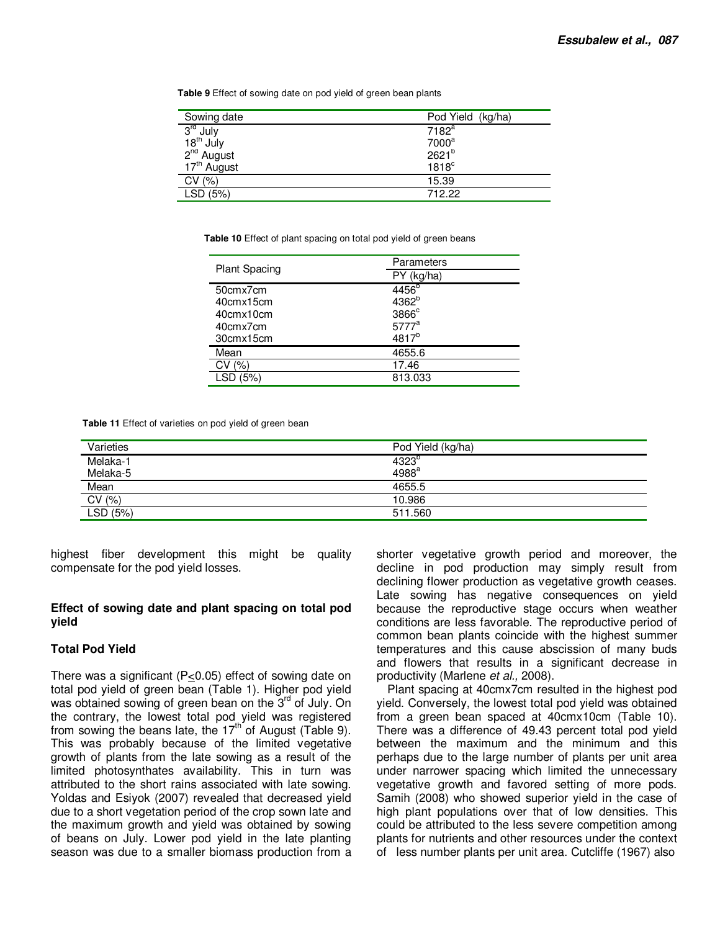**Table 9** Effect of sowing date on pod yield of green bean plants

| Sowing date             | Pod Yield (kg/ha)   |
|-------------------------|---------------------|
| 3 <sup>rd</sup> July    | 7182 <sup>a</sup>   |
| $18th$ July             | 7000 <sup>a</sup>   |
| 2 <sup>nd</sup> August  | 2621 <sup>b</sup>   |
| 17 <sup>th</sup> August | $1818$ <sup>c</sup> |
| CV(%)                   | 15.39               |
| LSD (5%)                | 712.22              |

**Table 10** Effect of plant spacing on total pod yield of green beans

|                      | Parameters        |
|----------------------|-------------------|
| <b>Plant Spacing</b> | PY (kg/ha)        |
| 50cmx7cm             | 4456 <sup>b</sup> |
| 40cmx15cm            | 4362 <sup>b</sup> |
| 40cmx10cm            | 3866 <sup>c</sup> |
| 40cmx7cm             | 5777 <sup>a</sup> |
| 30cmx15cm            | 4817 <sup>b</sup> |
| Mean                 | 4655.6            |
| CV(%)                | 17.46             |
| LSF                  | 813.033           |

**Table 11** Effect of varieties on pod yield of green bean

| Varieties | Pod Yield (kg/ha) |
|-----------|-------------------|
| Melaka-1  | 4323 <sup>b</sup> |
| Melaka-5  | 4988 <sup>a</sup> |
| Mean      | 4655.5            |
| CV(%)     | 10.986            |
| LSD (5%)  | 511.560           |

highest fiber development this might be quality compensate for the pod yield losses.

#### **Effect of sowing date and plant spacing on total pod yield**

#### **Total Pod Yield**

There was a significant (P<0.05) effect of sowing date on total pod yield of green bean (Table 1). Higher pod yield was obtained sowing of green bean on the 3<sup>rd</sup> of July. On the contrary, the lowest total pod yield was registered from sowing the beans late, the  $17<sup>th</sup>$  of August (Table 9). This was probably because of the limited vegetative growth of plants from the late sowing as a result of the limited photosynthates availability. This in turn was attributed to the short rains associated with late sowing. Yoldas and Esiyok (2007) revealed that decreased yield due to a short vegetation period of the crop sown late and the maximum growth and yield was obtained by sowing of beans on July. Lower pod yield in the late planting season was due to a smaller biomass production from a

shorter vegetative growth period and moreover, the decline in pod production may simply result from declining flower production as vegetative growth ceases. Late sowing has negative consequences on yield because the reproductive stage occurs when weather conditions are less favorable. The reproductive period of common bean plants coincide with the highest summer temperatures and this cause abscission of many buds and flowers that results in a significant decrease in productivity (Marlene *et al.,* 2008).

Plant spacing at 40cmx7cm resulted in the highest pod yield. Conversely, the lowest total pod yield was obtained from a green bean spaced at 40cmx10cm (Table 10). There was a difference of 49.43 percent total pod yield between the maximum and the minimum and this perhaps due to the large number of plants per unit area under narrower spacing which limited the unnecessary vegetative growth and favored setting of more pods. Samih (2008) who showed superior yield in the case of high plant populations over that of low densities. This could be attributed to the less severe competition among plants for nutrients and other resources under the context of less number plants per unit area. Cutcliffe (1967) also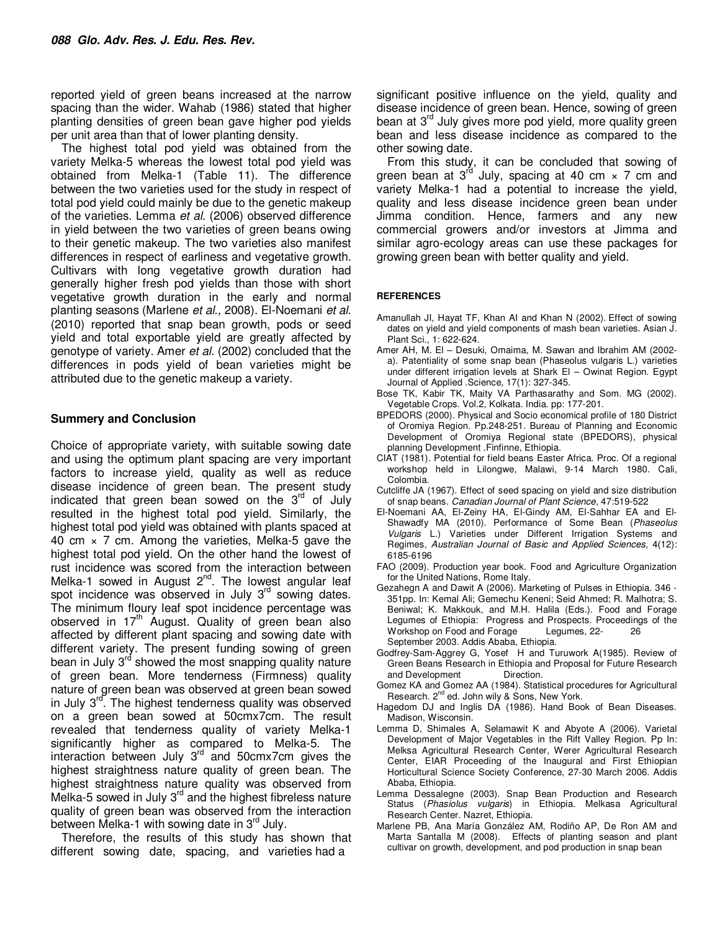reported yield of green beans increased at the narrow spacing than the wider. Wahab (1986) stated that higher planting densities of green bean gave higher pod yields per unit area than that of lower planting density.

The highest total pod yield was obtained from the variety Melka-5 whereas the lowest total pod yield was obtained from Melka-1 (Table 11). The difference between the two varieties used for the study in respect of total pod yield could mainly be due to the genetic makeup of the varieties. Lemma *et al.* (2006) observed difference in yield between the two varieties of green beans owing to their genetic makeup. The two varieties also manifest differences in respect of earliness and vegetative growth. Cultivars with long vegetative growth duration had generally higher fresh pod yields than those with short vegetative growth duration in the early and normal planting seasons (Marlene *et al.,* 2008). El-Noemani *et al.* (2010) reported that snap bean growth, pods or seed yield and total exportable yield are greatly affected by genotype of variety. Amer *et al.* (2002) concluded that the differences in pods yield of bean varieties might be attributed due to the genetic makeup a variety.

## **Summery and Conclusion**

Choice of appropriate variety, with suitable sowing date and using the optimum plant spacing are very important factors to increase yield, quality as well as reduce disease incidence of green bean. The present study indicated that green bean sowed on the  $3<sup>rd</sup>$  of July resulted in the highest total pod yield. Similarly, the highest total pod yield was obtained with plants spaced at 40 cm  $\times$  7 cm. Among the varieties, Melka-5 gave the highest total pod yield. On the other hand the lowest of rust incidence was scored from the interaction between Melka-1 sowed in August 2<sup>nd</sup>. The lowest angular leaf spot incidence was observed in July 3<sup>rd</sup> sowing dates. The minimum floury leaf spot incidence percentage was observed in  $17<sup>th</sup>$  August. Quality of green bean also affected by different plant spacing and sowing date with different variety. The present funding sowing of green bean in July  $3^{rd}$  showed the most snapping quality nature of green bean. More tenderness (Firmness) quality nature of green bean was observed at green bean sowed in July  $3^{rd}$ . The highest tenderness quality was observed on a green bean sowed at 50cmx7cm. The result revealed that tenderness quality of variety Melka-1 significantly higher as compared to Melka-5. The interaction between July 3<sup>rd</sup> and 50cmx7cm gives the highest straightness nature quality of green bean. The highest straightness nature quality was observed from Melka-5 sowed in July 3<sup>rd</sup> and the highest fibreless nature quality of green bean was observed from the interaction between Melka-1 with sowing date in  $3<sup>rd</sup>$  July.

Therefore, the results of this study has shown that different sowing date, spacing, and varieties had a

significant positive influence on the yield, quality and disease incidence of green bean. Hence, sowing of green bean at 3<sup>rd</sup> July gives more pod yield, more quality green bean and less disease incidence as compared to the other sowing date.

From this study, it can be concluded that sowing of green bean at  $3^{rd}$  July, spacing at 40 cm  $\times$  7 cm and variety Melka-1 had a potential to increase the yield, quality and less disease incidence green bean under Jimma condition. Hence, farmers and any new commercial growers and/or investors at Jimma and similar agro-ecology areas can use these packages for growing green bean with better quality and yield.

#### **REFERENCES**

- Amanullah JI, Hayat TF, Khan AI and Khan N (2002). Effect of sowing dates on yield and yield components of mash bean varieties. Asian J. Plant Sci., 1: 622-624.
- Amer AH, M. El Desuki, Omaima, M. Sawan and Ibrahim AM (2002 a). Patentiality of some snap bean (Phaseolus vulgaris L.) varieties under different irrigation levels at Shark El – Owinat Region. Egypt Journal of Applied .Science, 17(1): 327-345.
- Bose TK, Kabir TK, Maity VA Parthasarathy and Som. MG (2002). Vegetable Crops. Vol.2, Kolkata. India. pp: 177-201.
- BPEDORS (2000). Physical and Socio economical profile of 180 District of Oromiya Region. Pp.248-251. Bureau of Planning and Economic Development of Oromiya Regional state (BPEDORS), physical planning Development .Finfinne, Ethiopia.
- CIAT (1981). Potential for field beans Easter Africa. Proc. Of a regional workshop held in Lilongwe, Malawi, 9-14 March 1980. Cali, Colombia.
- Cutcliffe JA (1967). Effect of seed spacing on yield and size distribution of snap beans. *Canadian Journal of Plant Science*, 47:519-522
- El-Noemani AA, El-Zeiny HA, El-Gindy AM, El-Sahhar EA and El-Shawadfy MA (2010). Performance of Some Bean (*Phaseolus Vulgaris* L*.*) Varieties under Different Irrigation Systems and Regimes, *Australian Journal of Basic and Applied Sciences*, 4(12): 6185-6196
- FAO (2009). Production year book. Food and Agriculture Organization for the United Nations, Rome Italy.
- Gezahegn A and Dawit A (2006). Marketing of Pulses in Ethiopia. 346 351pp. In: Kemal Ali; Gemechu Keneni; Seid Ahmed; R. Malhotra; S. Beniwal; K. Makkouk, and M.H. Halila (Eds.). Food and Forage Legumes of Ethiopia: Progress and Prospects. Proceedings of the Workshop on Food and Forage Legumes, 22- 26 September 2003. Addis Ababa, Ethiopia.
- Godfrey-Sam-Aggrey G, Yosef H and Turuwork A(1985). Review of Green Beans Research in Ethiopia and Proposal for Future Research and Development Direction.
- Gomez KA and Gomez AA (1984). Statistical procedures for Agricultural Research. 2<sup>nd</sup> ed. John wily & Sons, New York.
- Hagedom DJ and Inglis DA (1986). Hand Book of Bean Diseases. Madison, Wisconsin.
- Lemma D, Shimales A, Selamawit K and Abyote A (2006). Varietal Development of Major Vegetables in the Rift Valley Region. Pp In: Melksa Agricultural Research Center, Werer Agricultural Research Center, EIAR Proceeding of the Inaugural and First Ethiopian Horticultural Science Society Conference, 27-30 March 2006. Addis Ababa, Ethiopia.
- Lemma Dessalegne (2003). Snap Bean Production and Research Status (*Phasiolus vulgaris*) in Ethiopia. Melkasa Agricultural Research Center. Nazret, Ethiopia.
- Marlene PB, Ana María González AM, Rodiño AP, De Ron AM and Marta Santalla M (2008). Effects of planting season and plant cultivar on growth, development, and pod production in snap bean